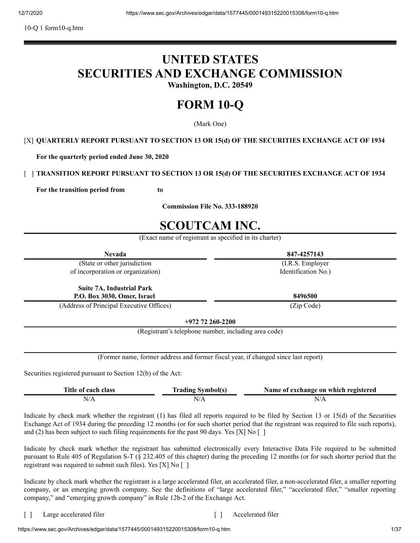10-Q 1 form10-q.htm

# **UNITED STATES SECURITIES AND EXCHANGE COMMISSION**

**Washington, D.C. 20549**

# **FORM 10-Q**

(Mark One)

## [X] **QUARTERLY REPORT PURSUANT TO SECTION 13 OR 15(d) OF THE SECURITIES EXCHANGE ACT OF 1934**

**For the quarterly period ended June 30, 2020**

# [ ] **TRANSITION REPORT PURSUANT TO SECTION 13 OR 15(d) OF THE SECURITIES EXCHANGE ACT OF 1934**

**For the transition period from to**

**Commission File No. 333-188920**

# **SCOUTCAM INC.**

(Exact name of registrant as specified in its charter)

| <b>Nevada</b>                                               |                                                                                    | 847-4257143                          |  |  |
|-------------------------------------------------------------|------------------------------------------------------------------------------------|--------------------------------------|--|--|
| (State or other jurisdiction                                |                                                                                    | (I.R.S. Employer                     |  |  |
| of incorporation or organization)                           |                                                                                    | Identification No.)                  |  |  |
| <b>Suite 7A, Industrial Park</b>                            |                                                                                    |                                      |  |  |
| P.O. Box 3030, Omer, Israel                                 |                                                                                    | 8496500                              |  |  |
|                                                             | (Address of Principal Executive Offices)<br>(Zip Code)                             |                                      |  |  |
|                                                             | $+972$ 72 260-2200                                                                 |                                      |  |  |
|                                                             | (Registrant's telephone number, including area code)                               |                                      |  |  |
|                                                             |                                                                                    |                                      |  |  |
|                                                             | (Former name, former address and former fiscal year, if changed since last report) |                                      |  |  |
| Securities registered pursuant to Section 12(b) of the Act: |                                                                                    |                                      |  |  |
| Title of each class                                         | <b>Trading Symbol(s)</b>                                                           | Name of exchange on which registered |  |  |
| N/A                                                         | N/A                                                                                | N/A                                  |  |  |

Indicate by check mark whether the registrant (1) has filed all reports required to be filed by Section 13 or 15(d) of the Securities Exchange Act of 1934 during the preceding 12 months (or for such shorter period that the registrant was required to file such reports), and (2) has been subject to such filing requirements for the past 90 days. Yes [X] No []

Indicate by check mark whether the registrant has submitted electronically every Interactive Data File required to be submitted pursuant to Rule 405 of Regulation S-T (§ 232.405 of this chapter) during the preceding 12 months (or for such shorter period that the registrant was required to submit such files). Yes [X] No [ ]

Indicate by check mark whether the registrant is a large accelerated filer, an accelerated filer, a non-accelerated filer, a smaller reporting company, or an emerging growth company. See the definitions of "large accelerated filer," "accelerated filer," "smaller reporting company," and "emerging growth company" in Rule 12b-2 of the Exchange Act.

[ ] Large accelerated filer [ ] Accelerated filer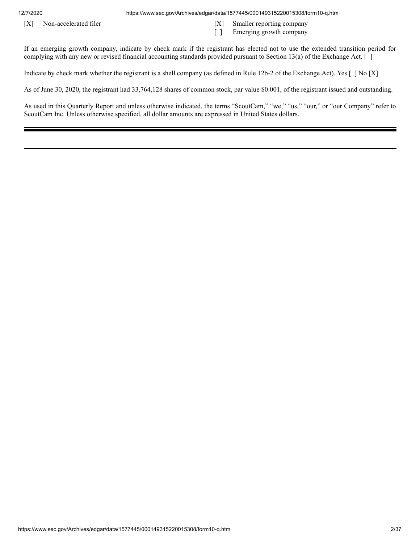12/7/2020 https://www.sec.gov/Archives/edgar/data/1577445/000149315220015308/form10-q.htm

- 
- [X] Non-accelerated filer [X] Smaller reporting company
	- [ ] Emerging growth company

If an emerging growth company, indicate by check mark if the registrant has elected not to use the extended transition period for complying with any new or revised financial accounting standards provided pursuant to Section 13(a) of the Exchange Act. [ ]

Indicate by check mark whether the registrant is a shell company (as defined in Rule 12b-2 of the Exchange Act). Yes [ ] No [X]

As of June 30, 2020, the registrant had 33,764,128 shares of common stock, par value \$0.001, of the registrant issued and outstanding.

As used in this Quarterly Report and unless otherwise indicated, the terms "ScoutCam," "we," "us," "our," or "our Company" refer to ScoutCam Inc. Unless otherwise specified, all dollar amounts are expressed in United States dollars.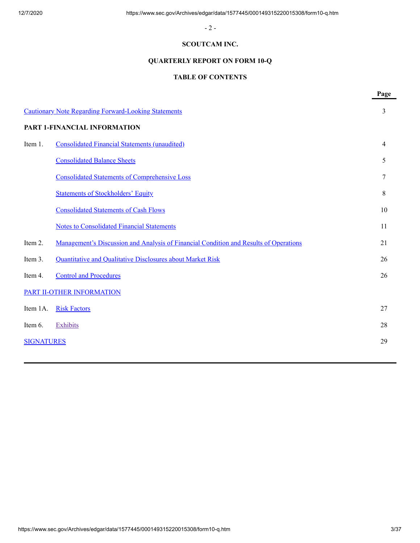- 2 -

## **SCOUTCAM INC.**

# **QUARTERLY REPORT ON FORM 10-Q**

# **TABLE OF CONTENTS**

|                   |                                                                                       | Page           |
|-------------------|---------------------------------------------------------------------------------------|----------------|
|                   | <b>Cautionary Note Regarding Forward-Looking Statements</b>                           | 3              |
|                   | PART 1-FINANCIAL INFORMATION                                                          |                |
| Item 1.           | <b>Consolidated Financial Statements (unaudited)</b>                                  | $\overline{4}$ |
|                   | <b>Consolidated Balance Sheets</b>                                                    | 5              |
|                   | <b>Consolidated Statements of Comprehensive Loss</b>                                  | 7              |
|                   | <b>Statements of Stockholders' Equity</b>                                             | 8              |
|                   | <b>Consolidated Statements of Cash Flows</b>                                          | 10             |
|                   | <b>Notes to Consolidated Financial Statements</b>                                     | 11             |
| Item 2.           | Management's Discussion and Analysis of Financial Condition and Results of Operations | 21             |
| Item 3.           | Quantitative and Qualitative Disclosures about Market Risk                            | 26             |
| Item 4.           | <b>Control and Procedures</b>                                                         | 26             |
|                   | PART II-OTHER INFORMATION                                                             |                |
| Item 1A.          | <b>Risk Factors</b>                                                                   | 27             |
| Item 6.           | Exhibits                                                                              | 28             |
| <b>SIGNATURES</b> |                                                                                       | 29             |
|                   |                                                                                       |                |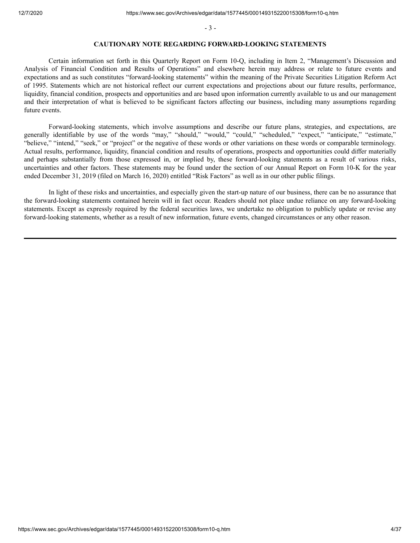- 3 -

#### **CAUTIONARY NOTE REGARDING FORWARD-LOOKING STATEMENTS**

<span id="page-3-0"></span>Certain information set forth in this Quarterly Report on Form 10-Q, including in Item 2, "Management's Discussion and Analysis of Financial Condition and Results of Operations" and elsewhere herein may address or relate to future events and expectations and as such constitutes "forward-looking statements" within the meaning of the Private Securities Litigation Reform Act of 1995. Statements which are not historical reflect our current expectations and projections about our future results, performance, liquidity, financial condition, prospects and opportunities and are based upon information currently available to us and our management and their interpretation of what is believed to be significant factors affecting our business, including many assumptions regarding future events.

Forward-looking statements, which involve assumptions and describe our future plans, strategies, and expectations, are generally identifiable by use of the words "may," "should," "would," "could," "scheduled," "expect," "anticipate," "estimate," "believe," "intend," "seek," or "project" or the negative of these words or other variations on these words or comparable terminology. Actual results, performance, liquidity, financial condition and results of operations, prospects and opportunities could differ materially and perhaps substantially from those expressed in, or implied by, these forward-looking statements as a result of various risks, uncertainties and other factors. These statements may be found under the section of our Annual Report on Form 10-K for the year ended December 31, 2019 (filed on March 16, 2020) entitled "Risk Factors" as well as in our other public filings.

In light of these risks and uncertainties, and especially given the start-up nature of our business, there can be no assurance that the forward-looking statements contained herein will in fact occur. Readers should not place undue reliance on any forward-looking statements. Except as expressly required by the federal securities laws, we undertake no obligation to publicly update or revise any forward-looking statements, whether as a result of new information, future events, changed circumstances or any other reason.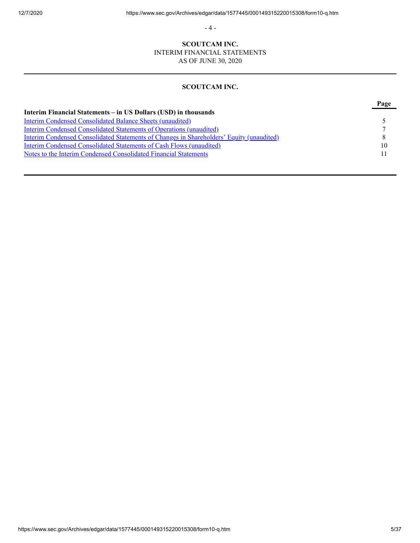- 4 -

# **SCOUTCAM INC.**

INTERIM FINANCIAL STATEMENTS

AS OF JUNE 30, 2020

# **SCOUTCAM INC.**

<span id="page-4-0"></span>

|                                                                                                 | <b>Page</b> |
|-------------------------------------------------------------------------------------------------|-------------|
| Interim Financial Statements – in US Dollars (USD) in thousands                                 |             |
| Interim Condensed Consolidated Balance Sheets (unaudited)                                       |             |
| Interim Condensed Consolidated Statements of Operations (unaudited)                             |             |
| <b>Interim Condensed Consolidated Statements of Changes in Shareholders' Equity (unaudited)</b> |             |
| <b>Interim Condensed Consolidated Statements of Cash Flows (unaudited)</b>                      | 10          |
| Notes to the Interim Condensed Consolidated Financial Statements                                | 11          |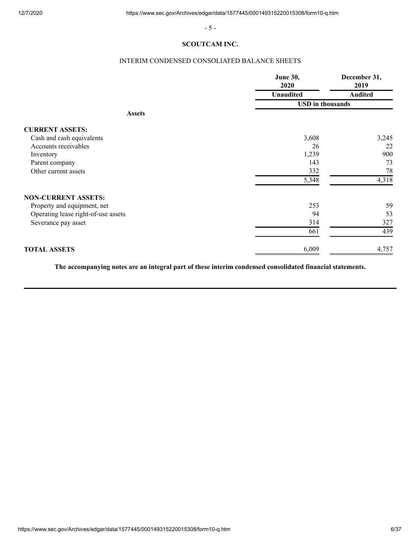- 5 -

## **SCOUTCAM INC.**

# INTERIM CONDENSED CONSOLIATED BALANCE SHEETS

<span id="page-5-0"></span>

|                                     | <b>June 30,</b><br>2020 | December 31,<br>2019<br><b>Audited</b> |  |
|-------------------------------------|-------------------------|----------------------------------------|--|
|                                     | <b>Unaudited</b>        |                                        |  |
|                                     | <b>USD</b> in thousands |                                        |  |
| <b>Assets</b>                       |                         |                                        |  |
| <b>CURRENT ASSETS:</b>              |                         |                                        |  |
| Cash and cash equivalents           | 3,608                   | 3,245                                  |  |
| Accounts receivables                | 26                      | 22                                     |  |
| Inventory                           | 1,239                   | 900                                    |  |
| Parent company                      | 143                     | 73                                     |  |
| Other current assets                | 332                     | 78                                     |  |
|                                     | 5,348                   | 4,318                                  |  |
| <b>NON-CURRENT ASSETS:</b>          |                         |                                        |  |
| Property and equipment, net         | 253                     | 59                                     |  |
| Operating lease right-of-use assets | 94                      | 53                                     |  |
| Severance pay asset                 | 314                     | 327                                    |  |
|                                     | 661                     | 439                                    |  |
| <b>TOTAL ASSETS</b>                 | 6,009                   | 4,757                                  |  |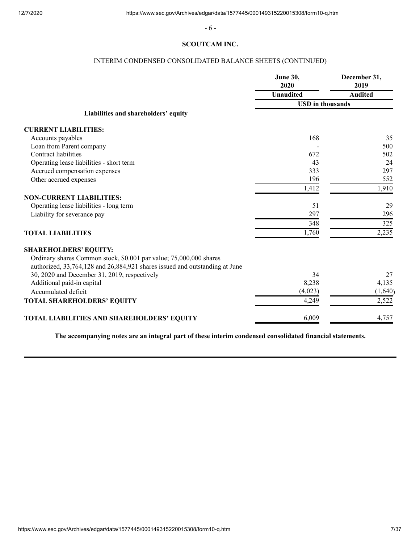- 6 -

## **SCOUTCAM INC.**

# INTERIM CONDENSED CONSOLIDATED BALANCE SHEETS (CONTINUED)

|                                                                             | <b>June 30,</b><br>2020 | December 31,<br>2019 |
|-----------------------------------------------------------------------------|-------------------------|----------------------|
|                                                                             | <b>Unaudited</b>        | <b>Audited</b>       |
|                                                                             | <b>USD</b> in thousands |                      |
| Liabilities and shareholders' equity                                        |                         |                      |
| <b>CURRENT LIABILITIES:</b>                                                 |                         |                      |
| Accounts payables                                                           | 168                     | 35                   |
| Loan from Parent company                                                    |                         | 500                  |
| Contract liabilities                                                        | 672                     | 502                  |
| Operating lease liabilities - short term                                    | 43                      | 24                   |
| Accrued compensation expenses                                               | 333                     | 297                  |
| Other accrued expenses                                                      | 196                     | 552                  |
|                                                                             | 1,412                   | 1,910                |
| <b>NON-CURRENT LIABILITIES:</b>                                             |                         |                      |
| Operating lease liabilities - long term                                     | 51                      | 29                   |
| Liability for severance pay                                                 | 297                     | 296                  |
|                                                                             | 348                     | 325                  |
| <b>TOTAL LIABILITIES</b>                                                    | 1,760                   | 2,235                |
| <b>SHAREHOLDERS' EQUITY:</b>                                                |                         |                      |
| Ordinary shares Common stock, \$0.001 par value; 75,000,000 shares          |                         |                      |
| authorized, 33,764,128 and 26,884,921 shares issued and outstanding at June |                         |                      |
| 30, 2020 and December 31, 2019, respectively                                | 34                      | 27                   |
| Additional paid-in capital                                                  | 8,238                   | 4,135                |
| Accumulated deficit                                                         | (4,023)                 | (1,640)              |
| TOTAL SHAREHOLDERS' EQUITY                                                  | 4,249                   | 2,522                |
| TOTAL LIABILITIES AND SHAREHOLDERS' EQUITY                                  | 6,009                   | 4,757                |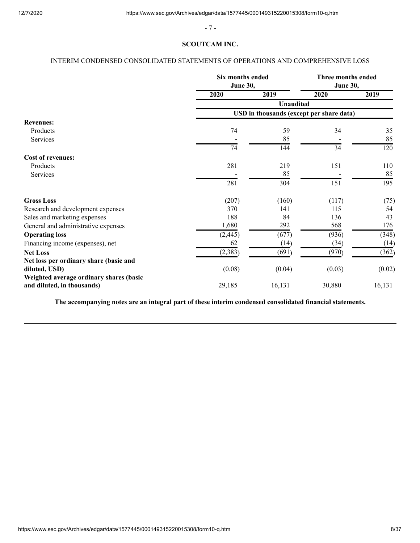- 7 -

## **SCOUTCAM INC.**

# <span id="page-7-0"></span>INTERIM CONDENSED CONSOLIDATED STATEMENTS OF OPERATIONS AND COMPREHENSIVE LOSS

|                                                                       | Six months ended<br><b>June 30,</b> |                                          | Three months ended<br><b>June 30,</b> |        |
|-----------------------------------------------------------------------|-------------------------------------|------------------------------------------|---------------------------------------|--------|
|                                                                       | 2020                                | 2019                                     | 2020                                  | 2019   |
|                                                                       |                                     | <b>Unaudited</b>                         |                                       |        |
|                                                                       |                                     | USD in thousands (except per share data) |                                       |        |
| <b>Revenues:</b>                                                      |                                     |                                          |                                       |        |
| Products                                                              | 74                                  | 59                                       | 34                                    | 35     |
| Services                                                              |                                     | 85                                       |                                       | 85     |
|                                                                       | 74                                  | 144                                      | 34                                    | 120    |
| <b>Cost of revenues:</b>                                              |                                     |                                          |                                       |        |
| Products                                                              | 281                                 | 219                                      | 151                                   | 110    |
| Services                                                              |                                     | 85                                       |                                       | 85     |
|                                                                       | 281                                 | 304                                      | 151                                   | 195    |
| <b>Gross Loss</b>                                                     | (207)                               | (160)                                    | (117)                                 | (75)   |
| Research and development expenses                                     | 370                                 | 141                                      | 115                                   | 54     |
| Sales and marketing expenses                                          | 188                                 | 84                                       | 136                                   | 43     |
| General and administrative expenses                                   | 1,680                               | 292                                      | 568                                   | 176    |
| <b>Operating loss</b>                                                 | (2, 445)                            | (677)                                    | (936)                                 | (348)  |
| Financing income (expenses), net                                      | 62                                  | (14)                                     | (34)                                  | (14)   |
| <b>Net Loss</b>                                                       | (2, 383)                            | (691)                                    | (970)                                 | (362)  |
| Net loss per ordinary share (basic and                                |                                     |                                          |                                       |        |
| diluted, USD)                                                         | (0.08)                              | (0.04)                                   | (0.03)                                | (0.02) |
| Weighted average ordinary shares (basic<br>and diluted, in thousands) | 29,185                              | 16,131                                   | 30,880                                | 16,131 |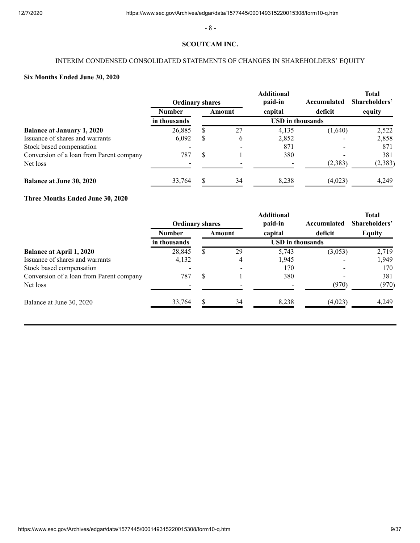- 8 -

## **SCOUTCAM INC.**

# INTERIM CONDENSED CONSOLIDATED STATEMENTS OF CHANGES IN SHAREHOLDERS' EQUITY

# <span id="page-8-0"></span>**Six Months Ended June 30, 2020**

|                                          | <b>Ordinary shares</b> |                         |        | <b>Additional</b><br>paid-in | Accumulated | <b>Total</b><br>Shareholders' |
|------------------------------------------|------------------------|-------------------------|--------|------------------------------|-------------|-------------------------------|
|                                          | <b>Number</b>          |                         | Amount | capital                      | deficit     | equity                        |
|                                          | in thousands           | <b>USD</b> in thousands |        |                              |             |                               |
| <b>Balance at January 1, 2020</b>        | 26,885                 | S                       | 27     | 4,135                        | (1,640)     | 2,522                         |
| Issuance of shares and warrants          | 6,092                  | S                       | 6      | 2,852                        |             | 2,858                         |
| Stock based compensation                 |                        |                         |        | 871                          |             | 871                           |
| Conversion of a loan from Parent company | 787                    | S                       |        | 380                          |             | 381                           |
| Net loss                                 |                        |                         |        |                              | (2,383)     | (2,383)                       |
| <b>Balance at June 30, 2020</b>          | 33.764                 | \$.                     | 34     | 8,238                        | (4,023)     | 4.249                         |

# **Three Months Ended June 30, 2020**

|                                          | <b>Ordinary shares</b> |               |        | <b>Additional</b><br>paid-in | Accumulated | <b>Total</b><br>Shareholders' |
|------------------------------------------|------------------------|---------------|--------|------------------------------|-------------|-------------------------------|
|                                          | <b>Number</b>          |               | Amount | capital                      | deficit     | <b>Equity</b>                 |
|                                          | in thousands           |               |        | <b>USD</b> in thousands      |             |                               |
| <b>Balance at April 1, 2020</b>          | 28,845                 | S             | 29     | 5,743                        | (3,053)     | 2,719                         |
| Issuance of shares and warrants          | 4,132                  |               | 4      | 1,945                        |             | 1,949                         |
| Stock based compensation                 |                        |               |        | 170                          |             | 170                           |
| Conversion of a loan from Parent company | 787                    | <sup>\$</sup> |        | 380                          |             | 381                           |
| Net loss                                 |                        |               |        |                              | (970)       | (970)                         |
| Balance at June 30, 2020                 | 33,764                 | \$            | 34     | 8,238                        | (4,023)     | 4.249                         |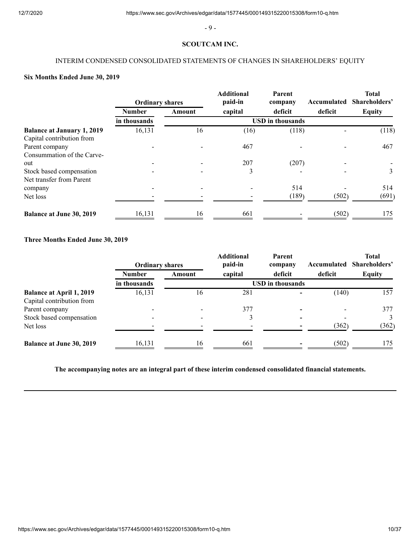- 9 -

## **SCOUTCAM INC.**

# INTERIM CONDENSED CONSOLIDATED STATEMENTS OF CHANGES IN SHAREHOLDERS' EQUITY

# **Six Months Ended June 30, 2019**

|                                   | <b>Ordinary shares</b> |        | <b>Additional</b><br>paid-in | Parent<br>company | Accumulated | <b>Total</b><br>Shareholders' |
|-----------------------------------|------------------------|--------|------------------------------|-------------------|-------------|-------------------------------|
|                                   | <b>Number</b>          | Amount | capital                      | deficit           | deficit     | Equity                        |
|                                   | in thousands           |        | <b>USD</b> in thousands      |                   |             |                               |
| <b>Balance at January 1, 2019</b> | 16,131                 | 16     | (16)                         | (118)             |             | (118)                         |
| Capital contribution from         |                        |        |                              |                   |             |                               |
| Parent company                    |                        |        | 467                          |                   |             | 467                           |
| Consummation of the Carve-        |                        |        |                              |                   |             |                               |
| out                               |                        |        | 207                          | (207)             |             |                               |
| Stock based compensation          |                        |        | 3                            |                   |             | 3                             |
| Net transfer from Parent          |                        |        |                              |                   |             |                               |
| company                           |                        |        |                              | 514               |             | 514                           |
| Net loss                          |                        |        |                              | (189)             | (502)       | (691)                         |
| <b>Balance at June 30, 2019</b>   | 16,131                 | 16     | 661                          |                   | (502)       | 175                           |

## **Three Months Ended June 30, 2019**

|                                 | <b>Ordinary shares</b> |        | <b>Additional</b><br>paid-in | Parent<br>company       | Accumulated | <b>Total</b><br>Shareholders' |
|---------------------------------|------------------------|--------|------------------------------|-------------------------|-------------|-------------------------------|
|                                 | <b>Number</b>          | Amount | capital                      | deficit                 | deficit     | <b>Equity</b>                 |
|                                 | in thousands           |        |                              | <b>USD</b> in thousands |             |                               |
| <b>Balance at April 1, 2019</b> | 16,131                 | 16     | 281                          |                         | (140)       | 157                           |
| Capital contribution from       |                        |        |                              |                         |             |                               |
| Parent company                  |                        |        | 377                          |                         |             | 377                           |
| Stock based compensation        |                        |        |                              |                         |             | 3                             |
| Net loss                        |                        |        |                              |                         | (362)       | (362)                         |
| <b>Balance at June 30, 2019</b> | 16,131                 | 16     | 661                          |                         | (502)       | 175                           |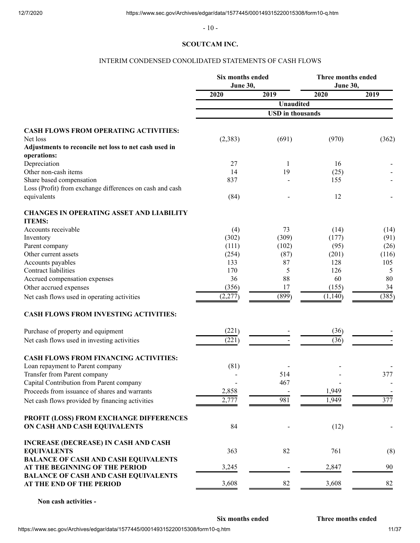- 10 -

## **SCOUTCAM INC.**

## INTERIM CONDENSED CONOLIDATED STATEMENTS OF CASH FLOWS

<span id="page-10-0"></span>

|                                                                               | Six months ended<br>June 30, |                         | Three months ended<br>June 30, |       |
|-------------------------------------------------------------------------------|------------------------------|-------------------------|--------------------------------|-------|
|                                                                               | 2020                         | 2019                    | 2020                           | 2019  |
|                                                                               |                              | <b>Unaudited</b>        |                                |       |
|                                                                               |                              | <b>USD</b> in thousands |                                |       |
| <b>CASH FLOWS FROM OPERATING ACTIVITIES:</b>                                  |                              |                         |                                |       |
| Net loss                                                                      | (2, 383)                     | (691)                   | (970)                          | (362) |
| Adjustments to reconcile net loss to net cash used in<br>operations:          |                              |                         |                                |       |
| Depreciation                                                                  | 27                           | 1                       | 16                             |       |
| Other non-cash items                                                          | 14                           | 19                      | (25)                           |       |
| Share based compensation                                                      | 837                          |                         | 155                            |       |
| Loss (Profit) from exchange differences on cash and cash                      |                              |                         |                                |       |
| equivalents                                                                   | (84)                         |                         | 12                             |       |
| <b>CHANGES IN OPERATING ASSET AND LIABILITY</b><br><b>ITEMS:</b>              |                              |                         |                                |       |
| Accounts receivable                                                           | (4)                          | 73                      | (14)                           | (14)  |
| Inventory                                                                     | (302)                        | (309)                   | (177)                          | (91)  |
| Parent company                                                                | (111)                        | (102)                   | (95)                           | (26)  |
| Other current assets                                                          | (254)                        | (87)                    | (201)                          | (116) |
| Accounts payables                                                             | 133                          | 87                      | 128                            | 105   |
| <b>Contract liabilities</b>                                                   | 170                          | 5                       | 126                            | 5     |
| Accrued compensation expenses                                                 | 36                           | 88                      | 60                             | 80    |
| Other accrued expenses                                                        | (356)                        | 17                      | (155)                          | 34    |
| Net cash flows used in operating activities                                   | (2,277)                      | (899)                   | (1,140)                        | (385) |
| CASH FLOWS FROM INVESTING ACTIVITIES:                                         |                              |                         |                                |       |
| Purchase of property and equipment                                            | (221)                        |                         | (36)                           |       |
| Net cash flows used in investing activities                                   | (221)                        |                         | (36)                           |       |
| <b>CASH FLOWS FROM FINANCING ACTIVITIES:</b>                                  |                              |                         |                                |       |
| Loan repayment to Parent company                                              | (81)                         |                         |                                |       |
| Transfer from Parent company                                                  |                              | 514                     |                                | 377   |
| Capital Contribution from Parent company                                      |                              | 467                     |                                |       |
| Proceeds from issuance of shares and warrants                                 | 2,858                        |                         | 1,949                          |       |
| Net cash flows provided by financing activities                               | 2,777                        | 981                     | 1,949                          | 377   |
| PROFIT (LOSS) FROM EXCHANGE DIFFERENCES                                       |                              |                         |                                |       |
| ON CASH AND CASH EQUIVALENTS                                                  | 84                           |                         | (12)                           |       |
| <b>INCREASE (DECREASE) IN CASH AND CASH</b>                                   |                              |                         |                                |       |
| <b>EQUIVALENTS</b>                                                            | 363                          | 82                      | 761                            | (8)   |
| <b>BALANCE OF CASH AND CASH EQUIVALENTS</b>                                   |                              |                         |                                |       |
| AT THE BEGINNING OF THE PERIOD<br><b>BALANCE OF CASH AND CASH EQUIVALENTS</b> | 3,245                        |                         | 2,847                          | 90    |
| AT THE END OF THE PERIOD                                                      | 3,608                        | 82                      | 3,608                          | 82    |
|                                                                               |                              |                         |                                |       |

**Non cash activities -**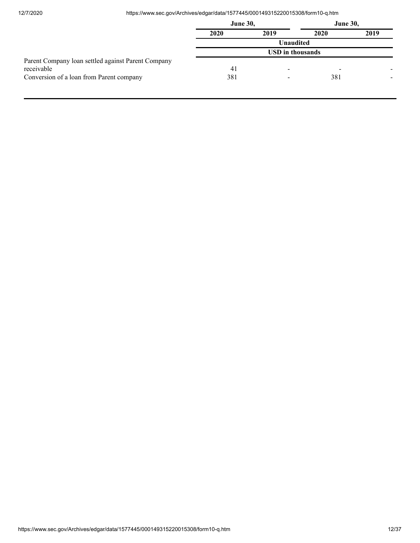12/7/2020 https://www.sec.gov/Archives/edgar/data/1577445/000149315220015308/form10-q.htm

|                                                    | <b>June 30,</b> |                         | <b>June 30,</b> |      |
|----------------------------------------------------|-----------------|-------------------------|-----------------|------|
|                                                    | 2020            | 2019                    | 2020            | 2019 |
|                                                    |                 | Unaudited               |                 |      |
|                                                    |                 | <b>USD</b> in thousands |                 |      |
| Parent Company loan settled against Parent Company |                 |                         |                 |      |
| receivable                                         | 41              | -                       | -               |      |
| Conversion of a loan from Parent company           | 381             |                         | 381             |      |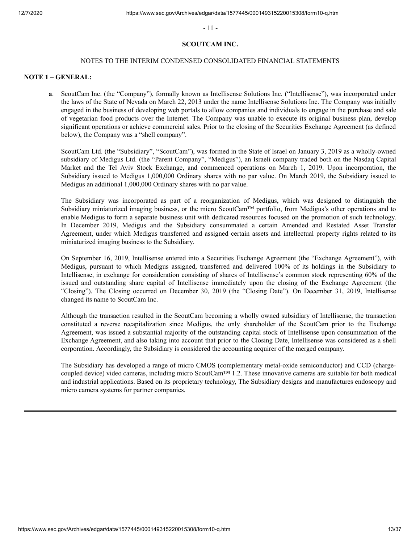- 11 -

## **SCOUTCAM INC.**

#### NOTES TO THE INTERIM CONDENSED CONSOLIDATED FINANCIAL STATEMENTS

## <span id="page-12-0"></span>**NOTE 1 – GENERAL:**

**a**. ScoutCam Inc. (the "Company"), formally known as Intellisense Solutions Inc. ("Intellisense"), was incorporated under the laws of the State of Nevada on March 22, 2013 under the name Intellisense Solutions Inc. The Company was initially engaged in the business of developing web portals to allow companies and individuals to engage in the purchase and sale of vegetarian food products over the Internet. The Company was unable to execute its original business plan, develop significant operations or achieve commercial sales. Prior to the closing of the Securities Exchange Agreement (as defined below), the Company was a "shell company".

ScoutCam Ltd. (the "Subsidiary", "ScoutCam"), was formed in the State of Israel on January 3, 2019 as a wholly-owned subsidiary of Medigus Ltd. (the "Parent Company", "Medigus"), an Israeli company traded both on the Nasdaq Capital Market and the Tel Aviv Stock Exchange, and commenced operations on March 1, 2019. Upon incorporation, the Subsidiary issued to Medigus 1,000,000 Ordinary shares with no par value. On March 2019, the Subsidiary issued to Medigus an additional 1,000,000 Ordinary shares with no par value.

The Subsidiary was incorporated as part of a reorganization of Medigus, which was designed to distinguish the Subsidiary miniaturized imaging business, or the micro ScoutCam™ portfolio, from Medigus's other operations and to enable Medigus to form a separate business unit with dedicated resources focused on the promotion of such technology. In December 2019, Medigus and the Subsidiary consummated a certain Amended and Restated Asset Transfer Agreement, under which Medigus transferred and assigned certain assets and intellectual property rights related to its miniaturized imaging business to the Subsidiary.

On September 16, 2019, Intellisense entered into a Securities Exchange Agreement (the "Exchange Agreement"), with Medigus, pursuant to which Medigus assigned, transferred and delivered 100% of its holdings in the Subsidiary to Intellisense, in exchange for consideration consisting of shares of Intellisense's common stock representing 60% of the issued and outstanding share capital of Intellisense immediately upon the closing of the Exchange Agreement (the "Closing"). The Closing occurred on December 30, 2019 (the "Closing Date"). On December 31, 2019, Intellisense changed its name to ScoutCam Inc.

Although the transaction resulted in the ScoutCam becoming a wholly owned subsidiary of Intellisense, the transaction constituted a reverse recapitalization since Medigus, the only shareholder of the ScoutCam prior to the Exchange Agreement, was issued a substantial majority of the outstanding capital stock of Intellisense upon consummation of the Exchange Agreement, and also taking into account that prior to the Closing Date, Intellisense was considered as a shell corporation. Accordingly, the Subsidiary is considered the accounting acquirer of the merged company.

The Subsidiary has developed a range of micro CMOS (complementary metal-oxide semiconductor) and CCD (chargecoupled device) video cameras, including micro ScoutCam™ 1.2. These innovative cameras are suitable for both medical and industrial applications. Based on its proprietary technology, The Subsidiary designs and manufactures endoscopy and micro camera systems for partner companies.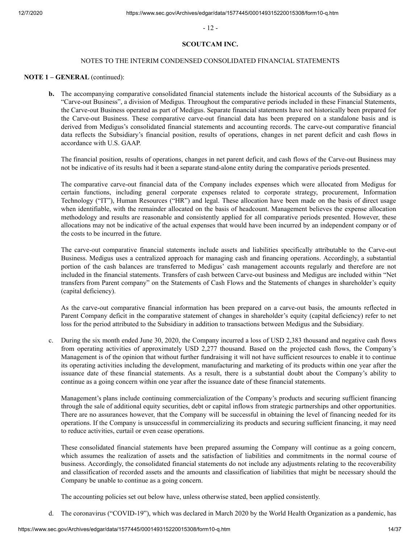- 12 -

## **SCOUTCAM INC.**

## NOTES TO THE INTERIM CONDENSED CONSOLIDATED FINANCIAL STATEMENTS

## **NOTE 1 – GENERAL** (continued):

**b.** The accompanying comparative consolidated financial statements include the historical accounts of the Subsidiary as a "Carve-out Business", a division of Medigus. Throughout the comparative periods included in these Financial Statements, the Carve-out Business operated as part of Medigus. Separate financial statements have not historically been prepared for the Carve-out Business. These comparative carve-out financial data has been prepared on a standalone basis and is derived from Medigus's consolidated financial statements and accounting records. The carve-out comparative financial data reflects the Subsidiary's financial position, results of operations, changes in net parent deficit and cash flows in accordance with U.S. GAAP.

The financial position, results of operations, changes in net parent deficit, and cash flows of the Carve-out Business may not be indicative of its results had it been a separate stand-alone entity during the comparative periods presented.

The comparative carve-out financial data of the Company includes expenses which were allocated from Medigus for certain functions, including general corporate expenses related to corporate strategy, procurement, Information Technology ("IT"), Human Resources ("HR") and legal. These allocation have been made on the basis of direct usage when identifiable, with the remainder allocated on the basis of headcount. Management believes the expense allocation methodology and results are reasonable and consistently applied for all comparative periods presented. However, these allocations may not be indicative of the actual expenses that would have been incurred by an independent company or of the costs to be incurred in the future.

The carve-out comparative financial statements include assets and liabilities specifically attributable to the Carve-out Business. Medigus uses a centralized approach for managing cash and financing operations. Accordingly, a substantial portion of the cash balances are transferred to Medigus' cash management accounts regularly and therefore are not included in the financial statements. Transfers of cash between Carve-out business and Medigus are included within "Net transfers from Parent company" on the Statements of Cash Flows and the Statements of changes in shareholder's equity (capital deficiency).

As the carve-out comparative financial information has been prepared on a carve-out basis, the amounts reflected in Parent Company deficit in the comparative statement of changes in shareholder's equity (capital deficiency) refer to net loss for the period attributed to the Subsidiary in addition to transactions between Medigus and the Subsidiary.

 c. During the six month ended June 30, 2020, the Company incurred a loss of USD 2,383 thousand and negative cash flows from operating activities of approximately USD 2,277 thousand. Based on the projected cash flows, the Company's Management is of the opinion that without further fundraising it will not have sufficient resources to enable it to continue its operating activities including the development, manufacturing and marketing of its products within one year after the issuance date of these financial statements. As a result, there is a substantial doubt about the Company's ability to continue as a going concern within one year after the issuance date of these financial statements.

 Management's plans include continuing commercialization of the Company's products and securing sufficient financing through the sale of additional equity securities, debt or capital inflows from strategic partnerships and other opportunities. There are no assurances however, that the Company will be successful in obtaining the level of financing needed for its operations. If the Company is unsuccessful in commercializing its products and securing sufficient financing, it may need to reduce activities, curtail or even cease operations.

 These consolidated financial statements have been prepared assuming the Company will continue as a going concern, which assumes the realization of assets and the satisfaction of liabilities and commitments in the normal course of business. Accordingly, the consolidated financial statements do not include any adjustments relating to the recoverability and classification of recorded assets and the amounts and classification of liabilities that might be necessary should the Company be unable to continue as a going concern.

The accounting policies set out below have, unless otherwise stated, been applied consistently.

d. The coronavirus ("COVID-19"), which was declared in March 2020 by the World Health Organization as a pandemic, has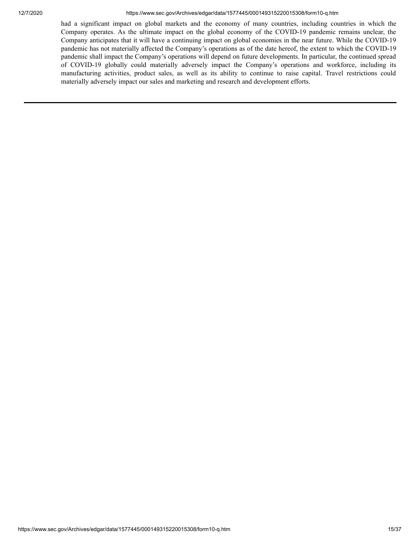#### 12/7/2020 https://www.sec.gov/Archives/edgar/data/1577445/000149315220015308/form10-q.htm

had a significant impact on global markets and the economy of many countries, including countries in which the Company operates. As the ultimate impact on the global economy of the COVID-19 pandemic remains unclear, the Company anticipates that it will have a continuing impact on global economies in the near future. While the COVID-19 pandemic has not materially affected the Company's operations as of the date hereof, the extent to which the COVID-19 pandemic shall impact the Company's operations will depend on future developments. In particular, the continued spread of COVID-19 globally could materially adversely impact the Company's operations and workforce, including its manufacturing activities, product sales, as well as its ability to continue to raise capital. Travel restrictions could materially adversely impact our sales and marketing and research and development efforts.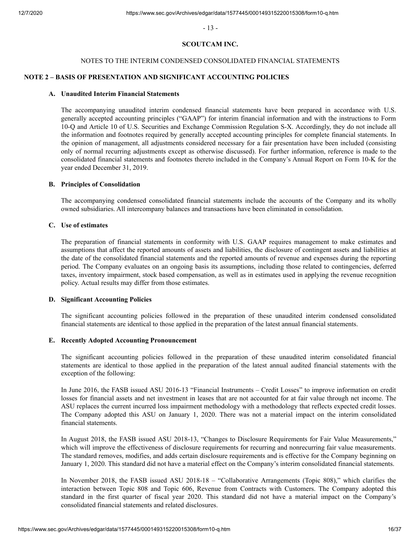- 13 -

## **SCOUTCAM INC.**

## NOTES TO THE INTERIM CONDENSED CONSOLIDATED FINANCIAL STATEMENTS

## **NOTE 2 – BASIS OF PRESENTATION AND SIGNIFICANT ACCOUNTING POLICIES**

## **A. Unaudited Interim Financial Statements**

The accompanying unaudited interim condensed financial statements have been prepared in accordance with U.S. generally accepted accounting principles ("GAAP") for interim financial information and with the instructions to Form 10-Q and Article 10 of U.S. Securities and Exchange Commission Regulation S-X. Accordingly, they do not include all the information and footnotes required by generally accepted accounting principles for complete financial statements. In the opinion of management, all adjustments considered necessary for a fair presentation have been included (consisting only of normal recurring adjustments except as otherwise discussed). For further information, reference is made to the consolidated financial statements and footnotes thereto included in the Company's Annual Report on Form 10-K for the year ended December 31, 2019.

## **B. Principles of Consolidation**

The accompanying condensed consolidated financial statements include the accounts of the Company and its wholly owned subsidiaries. All intercompany balances and transactions have been eliminated in consolidation.

### **C. Use of estimates**

The preparation of financial statements in conformity with U.S. GAAP requires management to make estimates and assumptions that affect the reported amounts of assets and liabilities, the disclosure of contingent assets and liabilities at the date of the consolidated financial statements and the reported amounts of revenue and expenses during the reporting period. The Company evaluates on an ongoing basis its assumptions, including those related to contingencies, deferred taxes, inventory impairment, stock based compensation, as well as in estimates used in applying the revenue recognition policy. Actual results may differ from those estimates.

#### **D. Significant Accounting Policies**

The significant accounting policies followed in the preparation of these unaudited interim condensed consolidated financial statements are identical to those applied in the preparation of the latest annual financial statements.

#### **E. Recently Adopted Accounting Pronouncement**

The significant accounting policies followed in the preparation of these unaudited interim consolidated financial statements are identical to those applied in the preparation of the latest annual audited financial statements with the exception of the following:

In June 2016, the FASB issued ASU 2016-13 "Financial Instruments – Credit Losses" to improve information on credit losses for financial assets and net investment in leases that are not accounted for at fair value through net income. The ASU replaces the current incurred loss impairment methodology with a methodology that reflects expected credit losses. The Company adopted this ASU on January 1, 2020. There was not a material impact on the interim consolidated financial statements.

In August 2018, the FASB issued ASU 2018-13, "Changes to Disclosure Requirements for Fair Value Measurements," which will improve the effectiveness of disclosure requirements for recurring and nonrecurring fair value measurements. The standard removes, modifies, and adds certain disclosure requirements and is effective for the Company beginning on January 1, 2020. This standard did not have a material effect on the Company's interim consolidated financial statements.

In November 2018, the FASB issued ASU 2018-18 – "Collaborative Arrangements (Topic 808)," which clarifies the interaction between Topic 808 and Topic 606, Revenue from Contracts with Customers. The Company adopted this standard in the first quarter of fiscal year 2020. This standard did not have a material impact on the Company's consolidated financial statements and related disclosures.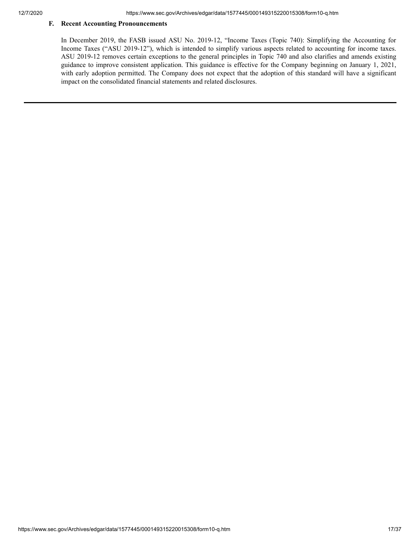## **F. Recent Accounting Pronouncements**

In December 2019, the FASB issued ASU No. 2019-12, "Income Taxes (Topic 740): Simplifying the Accounting for Income Taxes ("ASU 2019-12"), which is intended to simplify various aspects related to accounting for income taxes. ASU 2019-12 removes certain exceptions to the general principles in Topic 740 and also clarifies and amends existing guidance to improve consistent application. This guidance is effective for the Company beginning on January 1, 2021, with early adoption permitted. The Company does not expect that the adoption of this standard will have a significant impact on the consolidated financial statements and related disclosures.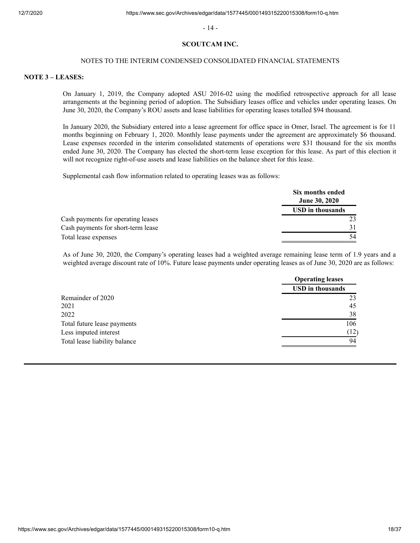- 14 -

#### **SCOUTCAM INC.**

#### NOTES TO THE INTERIM CONDENSED CONSOLIDATED FINANCIAL STATEMENTS

#### **NOTE 3 – LEASES:**

On January 1, 2019, the Company adopted ASU 2016-02 using the modified retrospective approach for all lease arrangements at the beginning period of adoption. The Subsidiary leases office and vehicles under operating leases. On June 30, 2020, the Company's ROU assets and lease liabilities for operating leases totalled \$94 thousand.

In January 2020, the Subsidiary entered into a lease agreement for office space in Omer, Israel. The agreement is for 11 months beginning on February 1, 2020. Monthly lease payments under the agreement are approximately \$6 thousand. Lease expenses recorded in the interim consolidated statements of operations were \$31 thousand for the six months ended June 30, 2020. The Company has elected the short-term lease exception for this lease. As part of this election it will not recognize right-of-use assets and lease liabilities on the balance sheet for this lease.

Supplemental cash flow information related to operating leases was as follows:

|                                    | Six months ended<br><b>June 30, 2020</b> |
|------------------------------------|------------------------------------------|
|                                    | <b>USD</b> in thousands                  |
| Cash payments for operating leases | 23                                       |
| Cash payments for short-term lease | 31                                       |
| Total lease expenses               | 54                                       |

As of June 30, 2020, the Company's operating leases had a weighted average remaining lease term of 1.9 years and a weighted average discount rate of 10%. Future lease payments under operating leases as of June 30, 2020 are as follows:

|                               | <b>Operating leases</b> |
|-------------------------------|-------------------------|
|                               | <b>USD</b> in thousands |
| Remainder of 2020             | 2 <sup>3</sup>          |
| 2021                          | 45                      |
| 2022                          | 38                      |
| Total future lease payments   | 106                     |
| Less imputed interest         | (12)                    |
| Total lease liability balance | 94                      |
|                               |                         |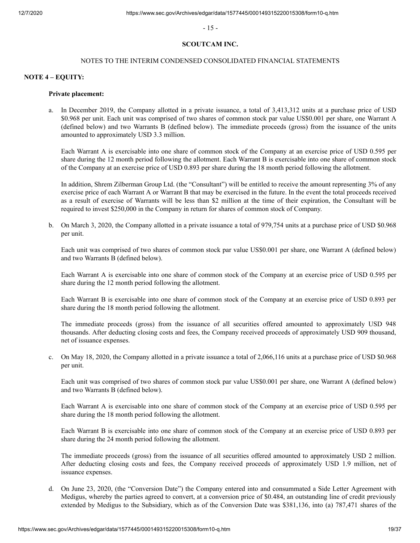- 15 -

## **SCOUTCAM INC.**

#### NOTES TO THE INTERIM CONDENSED CONSOLIDATED FINANCIAL STATEMENTS

#### **NOTE 4 – EQUITY:**

#### **Private placement:**

 a. In December 2019, the Company allotted in a private issuance, a total of 3,413,312 units at a purchase price of USD \$0.968 per unit. Each unit was comprised of two shares of common stock par value US\$0.001 per share, one Warrant A (defined below) and two Warrants B (defined below). The immediate proceeds (gross) from the issuance of the units amounted to approximately USD 3.3 million.

Each Warrant A is exercisable into one share of common stock of the Company at an exercise price of USD 0.595 per share during the 12 month period following the allotment. Each Warrant B is exercisable into one share of common stock of the Company at an exercise price of USD 0.893 per share during the 18 month period following the allotment.

In addition, Shrem Zilberman Group Ltd. (the "Consultant") will be entitled to receive the amount representing 3% of any exercise price of each Warrant A or Warrant B that may be exercised in the future. In the event the total proceeds received as a result of exercise of Warrants will be less than \$2 million at the time of their expiration, the Consultant will be required to invest \$250,000 in the Company in return for shares of common stock of Company.

 b. On March 3, 2020, the Company allotted in a private issuance a total of 979,754 units at a purchase price of USD \$0.968 per unit.

Each unit was comprised of two shares of common stock par value US\$0.001 per share, one Warrant A (defined below) and two Warrants B (defined below).

Each Warrant A is exercisable into one share of common stock of the Company at an exercise price of USD 0.595 per share during the 12 month period following the allotment.

Each Warrant B is exercisable into one share of common stock of the Company at an exercise price of USD 0.893 per share during the 18 month period following the allotment.

The immediate proceeds (gross) from the issuance of all securities offered amounted to approximately USD 948 thousands. After deducting closing costs and fees, the Company received proceeds of approximately USD 909 thousand, net of issuance expenses.

c. On May 18, 2020, the Company allotted in a private issuance a total of 2,066,116 units at a purchase price of USD \$0.968 per unit.

Each unit was comprised of two shares of common stock par value US\$0.001 per share, one Warrant A (defined below) and two Warrants B (defined below).

Each Warrant A is exercisable into one share of common stock of the Company at an exercise price of USD 0.595 per share during the 18 month period following the allotment.

Each Warrant B is exercisable into one share of common stock of the Company at an exercise price of USD 0.893 per share during the 24 month period following the allotment.

The immediate proceeds (gross) from the issuance of all securities offered amounted to approximately USD 2 million. After deducting closing costs and fees, the Company received proceeds of approximately USD 1.9 million, net of issuance expenses.

d. On June 23, 2020, (the "Conversion Date") the Company entered into and consummated a Side Letter Agreement with Medigus, whereby the parties agreed to convert, at a conversion price of \$0.484, an outstanding line of credit previously extended by Medigus to the Subsidiary, which as of the Conversion Date was \$381,136, into (a) 787,471 shares of the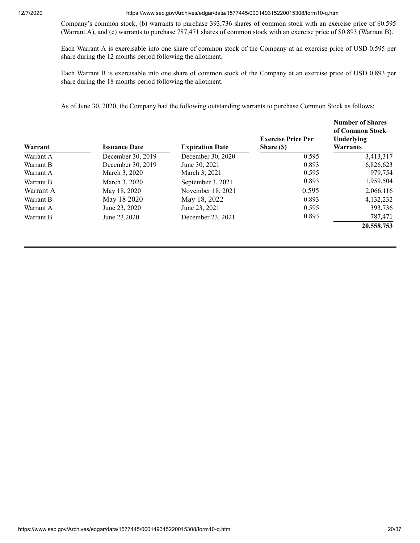12/7/2020 https://www.sec.gov/Archives/edgar/data/1577445/000149315220015308/form10-q.htm

Company's common stock, (b) warrants to purchase 393,736 shares of common stock with an exercise price of \$0.595 (Warrant A), and (c) warrants to purchase 787,471 shares of common stock with an exercise price of \$0.893 (Warrant B).

Each Warrant A is exercisable into one share of common stock of the Company at an exercise price of USD 0.595 per share during the 12 months period following the allotment.

Each Warrant B is exercisable into one share of common stock of the Company at an exercise price of USD 0.893 per share during the 18 months period following the allotment.

As of June 30, 2020, the Company had the following outstanding warrants to purchase Common Stock as follows:

| Warrant   | <b>Issuance Date</b> | <b>Expiration Date</b> | <b>Exercise Price Per</b><br>Share (\$) | <b>Number of Shares</b><br>of Common Stock<br>Underlying<br><b>Warrants</b> |
|-----------|----------------------|------------------------|-----------------------------------------|-----------------------------------------------------------------------------|
| Warrant A | December 30, 2019    | December 30, 2020      | 0.595                                   | 3,413,317                                                                   |
| Warrant B | December 30, 2019    | June 30, 2021          | 0.893                                   | 6,826,623                                                                   |
| Warrant A | March 3, 2020        | March 3, 2021          | 0.595                                   | 979,754                                                                     |
| Warrant B | March 3, 2020        | September 3, 2021      | 0.893                                   | 1,959,504                                                                   |
| Warrant A | May 18, 2020         | November 18, 2021      | 0.595                                   | 2,066,116                                                                   |
| Warrant B | May 18 2020          | May 18, 2022           | 0.893                                   | 4,132,232                                                                   |
| Warrant A | June 23, 2020        | June 23, 2021          | 0.595                                   | 393,736                                                                     |
| Warrant B | June 23,2020         | December 23, 2021      | 0.893                                   | 787,471                                                                     |
|           |                      |                        |                                         | 20,558,753                                                                  |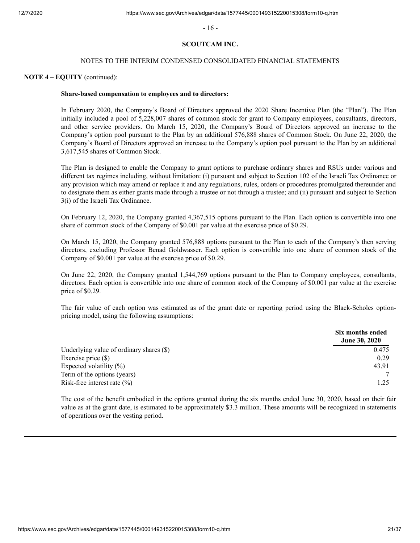- 16 -

## **SCOUTCAM INC.**

### NOTES TO THE INTERIM CONDENSED CONSOLIDATED FINANCIAL STATEMENTS

#### **NOTE 4 – EQUITY** (continued):

#### **Share-based compensation to employees and to directors:**

In February 2020, the Company's Board of Directors approved the 2020 Share Incentive Plan (the "Plan"). The Plan initially included a pool of 5,228,007 shares of common stock for grant to Company employees, consultants, directors, and other service providers. On March 15, 2020, the Company's Board of Directors approved an increase to the Company's option pool pursuant to the Plan by an additional 576,888 shares of Common Stock. On June 22, 2020, the Company's Board of Directors approved an increase to the Company's option pool pursuant to the Plan by an additional 3,617,545 shares of Common Stock.

The Plan is designed to enable the Company to grant options to purchase ordinary shares and RSUs under various and different tax regimes including, without limitation: (i) pursuant and subject to Section 102 of the Israeli Tax Ordinance or any provision which may amend or replace it and any regulations, rules, orders or procedures promulgated thereunder and to designate them as either grants made through a trustee or not through a trustee; and (ii) pursuant and subject to Section 3(i) of the Israeli Tax Ordinance.

On February 12, 2020, the Company granted 4,367,515 options pursuant to the Plan. Each option is convertible into one share of common stock of the Company of \$0.001 par value at the exercise price of \$0.29.

On March 15, 2020, the Company granted 576,888 options pursuant to the Plan to each of the Company's then serving directors, excluding Professor Benad Goldwasser. Each option is convertible into one share of common stock of the Company of \$0.001 par value at the exercise price of \$0.29.

On June 22, 2020, the Company granted 1,544,769 options pursuant to the Plan to Company employees, consultants, directors. Each option is convertible into one share of common stock of the Company of \$0.001 par value at the exercise price of \$0.29.

The fair value of each option was estimated as of the grant date or reporting period using the Black-Scholes optionpricing model, using the following assumptions:

|                                          | Six months ended<br><b>June 30, 2020</b> |
|------------------------------------------|------------------------------------------|
| Underlying value of ordinary shares (\$) | 0.475                                    |
| Exercise price $(\$)$                    | 0.29                                     |
| Expected volatility $(\%)$               | 43.91                                    |
| Term of the options (years)              |                                          |
| Risk-free interest rate $(\% )$          | 1.25                                     |

The cost of the benefit embodied in the options granted during the six months ended June 30, 2020, based on their fair value as at the grant date, is estimated to be approximately \$3.3 million. These amounts will be recognized in statements of operations over the vesting period.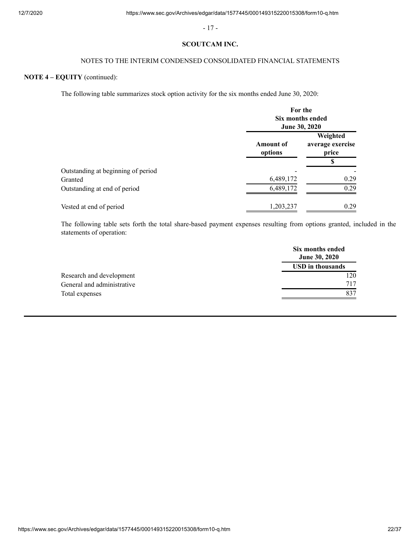- 17 -

## **SCOUTCAM INC.**

## NOTES TO THE INTERIM CONDENSED CONSOLIDATED FINANCIAL STATEMENTS

# **NOTE 4 – EQUITY** (continued):

The following table summarizes stock option activity for the six months ended June 30, 2020:

|                                    | For the<br>Six months ended<br>June 30, 2020 |                                       |
|------------------------------------|----------------------------------------------|---------------------------------------|
|                                    | <b>Amount of</b><br>options                  | Weighted<br>average exercise<br>price |
|                                    |                                              | S                                     |
| Outstanding at beginning of period |                                              |                                       |
| Granted                            | 6,489,172                                    | 0.29                                  |
| Outstanding at end of period       | 6,489,172                                    | 0.29                                  |
| Vested at end of period            | 1,203,237                                    | 0.29                                  |

The following table sets forth the total share-based payment expenses resulting from options granted, included in the statements of operation:

|                            | Six months ended<br><b>June 30, 2020</b> |
|----------------------------|------------------------------------------|
|                            | <b>USD</b> in thousands                  |
| Research and development   | 120                                      |
| General and administrative | 717                                      |
| Total expenses             | 837                                      |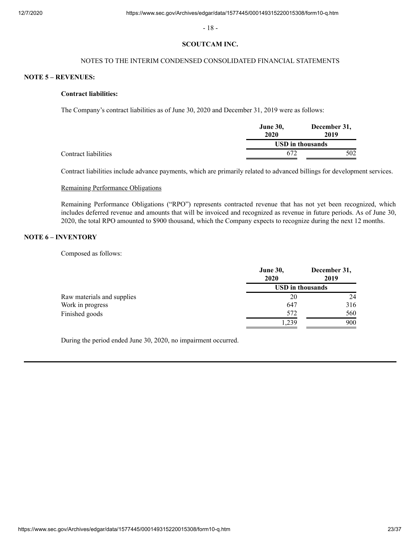- 18 -

#### **SCOUTCAM INC.**

## NOTES TO THE INTERIM CONDENSED CONSOLIDATED FINANCIAL STATEMENTS

## **NOTE 5 – REVENUES:**

## **Contract liabilities:**

The Company's contract liabilities as of June 30, 2020 and December 31, 2019 were as follows:

|                      | <b>June 30,</b><br>2020 | December 31,<br>2019 |  |
|----------------------|-------------------------|----------------------|--|
|                      |                         | USD in thousands     |  |
| Contract liabilities | 672                     | 502                  |  |

Contract liabilities include advance payments, which are primarily related to advanced billings for development services.

## Remaining Performance Obligations

Remaining Performance Obligations ("RPO") represents contracted revenue that has not yet been recognized, which includes deferred revenue and amounts that will be invoiced and recognized as revenue in future periods. As of June 30, 2020, the total RPO amounted to \$900 thousand, which the Company expects to recognize during the next 12 months.

## **NOTE 6 – INVENTORY**

Composed as follows:

|                            | <b>June 30,</b><br>2020 | December 31,<br>2019 |  |
|----------------------------|-------------------------|----------------------|--|
|                            | <b>USD</b> in thousands |                      |  |
| Raw materials and supplies | 20                      | 24                   |  |
| Work in progress           | 647                     | 316                  |  |
| Finished goods             | 572                     | 560                  |  |
|                            | 1,239                   | 900                  |  |

During the period ended June 30, 2020, no impairment occurred.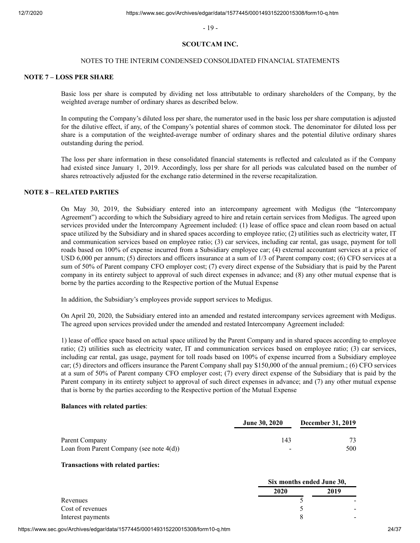- 19 -

#### **SCOUTCAM INC.**

### NOTES TO THE INTERIM CONDENSED CONSOLIDATED FINANCIAL STATEMENTS

#### **NOTE 7 – LOSS PER SHARE**

Basic loss per share is computed by dividing net loss attributable to ordinary shareholders of the Company, by the weighted average number of ordinary shares as described below.

In computing the Company's diluted loss per share, the numerator used in the basic loss per share computation is adjusted for the dilutive effect, if any, of the Company's potential shares of common stock. The denominator for diluted loss per share is a computation of the weighted-average number of ordinary shares and the potential dilutive ordinary shares outstanding during the period.

The loss per share information in these consolidated financial statements is reflected and calculated as if the Company had existed since January 1, 2019. Accordingly, loss per share for all periods was calculated based on the number of shares retroactively adjusted for the exchange ratio determined in the reverse recapitalization.

## **NOTE 8 – RELATED PARTIES**

On May 30, 2019, the Subsidiary entered into an intercompany agreement with Medigus (the "Intercompany Agreement") according to which the Subsidiary agreed to hire and retain certain services from Medigus. The agreed upon services provided under the Intercompany Agreement included: (1) lease of office space and clean room based on actual space utilized by the Subsidiary and in shared spaces according to employee ratio; (2) utilities such as electricity water, IT and communication services based on employee ratio; (3) car services, including car rental, gas usage, payment for toll roads based on 100% of expense incurred from a Subsidiary employee car; (4) external accountant services at a price of USD 6,000 per annum; (5) directors and officers insurance at a sum of 1/3 of Parent company cost; (6) CFO services at a sum of 50% of Parent company CFO employer cost; (7) every direct expense of the Subsidiary that is paid by the Parent company in its entirety subject to approval of such direct expenses in advance; and (8) any other mutual expense that is borne by the parties according to the Respective portion of the Mutual Expense

In addition, the Subsidiary's employees provide support services to Medigus.

On April 20, 2020, the Subsidiary entered into an amended and restated intercompany services agreement with Medigus. The agreed upon services provided under the amended and restated Intercompany Agreement included:

1) lease of office space based on actual space utilized by the Parent Company and in shared spaces according to employee ratio; (2) utilities such as electricity water, IT and communication services based on employee ratio; (3) car services, including car rental, gas usage, payment for toll roads based on 100% of expense incurred from a Subsidiary employee car; (5) directors and officers insurance the Parent Company shall pay \$150,000 of the annual premium.; (6) CFO services at a sum of 50% of Parent company CFO employer cost; (7) every direct expense of the Subsidiary that is paid by the Parent company in its entirety subject to approval of such direct expenses in advance; and (7) any other mutual expense that is borne by the parties according to the Respective portion of the Mutual Expense

#### **Balances with related parties**:

|                                                               | <b>June 30, 2020</b>            | <b>December 31, 2019</b> |
|---------------------------------------------------------------|---------------------------------|--------------------------|
| Parent Company<br>Loan from Parent Company (see note $4(d)$ ) | 143<br>$\overline{\phantom{0}}$ | 500                      |

#### **Transactions with related parties:**

|                   |      | Six months ended June 30, |  |
|-------------------|------|---------------------------|--|
|                   | 2020 | 2019                      |  |
| Revenues          |      |                           |  |
| Cost of revenues  |      |                           |  |
| Interest payments |      |                           |  |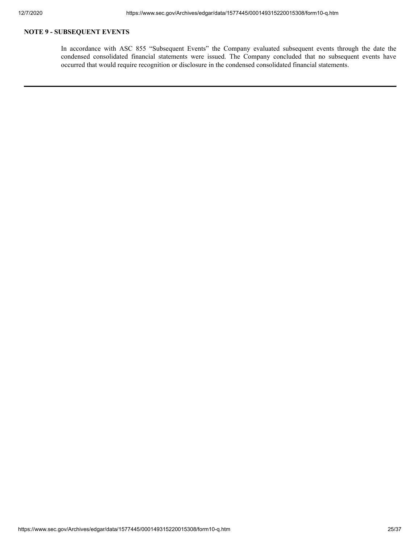# **NOTE 9 - SUBSEQUENT EVENTS**

In accordance with ASC 855 "Subsequent Events" the Company evaluated subsequent events through the date the condensed consolidated financial statements were issued. The Company concluded that no subsequent events have occurred that would require recognition or disclosure in the condensed consolidated financial statements.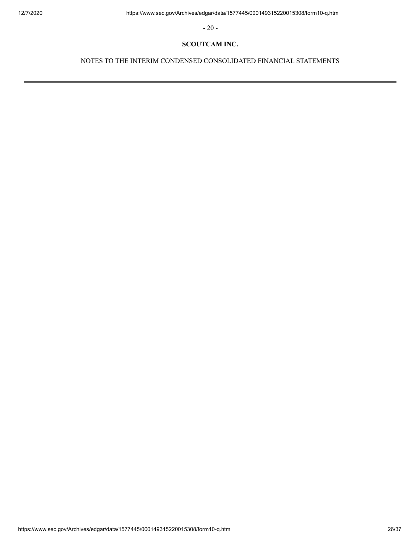- 20 -

## **SCOUTCAM INC.**

NOTES TO THE INTERIM CONDENSED CONSOLIDATED FINANCIAL STATEMENTS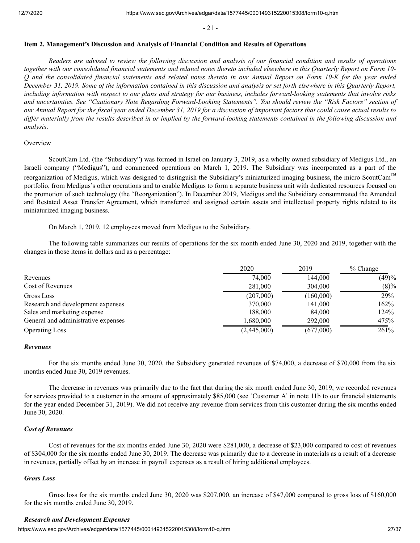- 21 -

#### <span id="page-26-0"></span>**Item 2. Management's Discussion and Analysis of Financial Condition and Results of Operations**

*Readers are advised to review the following discussion and analysis of our financial condition and results of operations together with our consolidated financial statements and related notes thereto included elsewhere in this Quarterly Report on Form 10- Q and the consolidated financial statements and related notes thereto in our Annual Report on Form 10-K for the year ended December 31, 2019. Some of the information contained in this discussion and analysis or set forth elsewhere in this Quarterly Report, including information with respect to our plans and strategy for our business, includes forward-looking statements that involve risks and uncertainties. See "Cautionary Note Regarding Forward-Looking Statements". You should review the "Risk Factors" section of our Annual Report for the fiscal year ended December 31, 2019 for a discussion of important factors that could cause actual results to differ materially from the results described in or implied by the forward-looking statements contained in the following discussion and analysis*.

#### **Overview**

ScoutCam Ltd. (the "Subsidiary") was formed in Israel on January 3, 2019, as a wholly owned subsidiary of Medigus Ltd., an Israeli company ("Medigus"), and commenced operations on March 1, 2019. The Subsidiary was incorporated as a part of the reorganization of Medigus, which was designed to distinguish the Subsidiary's miniaturized imaging business, the micro ScoutCam™ portfolio, from Medigus's other operations and to enable Medigus to form a separate business unit with dedicated resources focused on the promotion of such technology (the "Reorganization"). In December 2019, Medigus and the Subsidiary consummated the Amended and Restated Asset Transfer Agreement, which transferred and assigned certain assets and intellectual property rights related to its miniaturized imaging business.

On March 1, 2019, 12 employees moved from Medigus to the Subsidiary.

The following table summarizes our results of operations for the six month ended June 30, 2020 and 2019, together with the changes in those items in dollars and as a percentage:

|                                     | 2020        | 2019      | $%$ Change |
|-------------------------------------|-------------|-----------|------------|
| Revenues                            | 74,000      | 144,000   | (49)%      |
| Cost of Revenues                    | 281,000     | 304,000   | $(8)\%$    |
| Gross Loss                          | (207,000)   | (160,000) | 29%        |
| Research and development expenses   | 370,000     | 141,000   | 162%       |
| Sales and marketing expense         | 188,000     | 84,000    | 124%       |
| General and administrative expenses | 1,680,000   | 292,000   | 475%       |
| <b>Operating Loss</b>               | (2,445,000) | (677,000) | 261%       |

#### *Revenues*

For the six months ended June 30, 2020, the Subsidiary generated revenues of \$74,000, a decrease of \$70,000 from the six months ended June 30, 2019 revenues.

The decrease in revenues was primarily due to the fact that during the six month ended June 30, 2019, we recorded revenues for services provided to a customer in the amount of approximately \$85,000 (see 'Customer A' in note 11b to our financial statements for the year ended December 31, 2019). We did not receive any revenue from services from this customer during the six months ended June 30, 2020.

## *Cost of Revenues*

Cost of revenues for the six months ended June 30, 2020 were \$281,000, a decrease of \$23,000 compared to cost of revenues of \$304,000 for the six months ended June 30, 2019. The decrease was primarily due to a decrease in materials as a result of a decrease in revenues, partially offset by an increase in payroll expenses as a result of hiring additional employees.

## *Gross Loss*

Gross loss for the six months ended June 30, 2020 was \$207,000, an increase of \$47,000 compared to gross loss of \$160,000 for the six months ended June 30, 2019.

## *Research and Development Expenses*

https://www.sec.gov/Archives/edgar/data/1577445/000149315220015308/form10-g.htm 27/37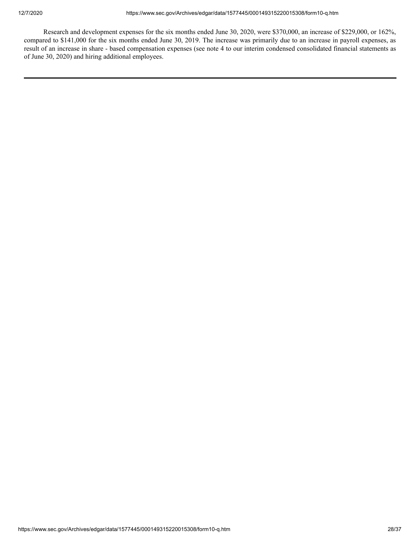Research and development expenses for the six months ended June 30, 2020, were \$370,000, an increase of \$229,000, or 162%, compared to \$141,000 for the six months ended June 30, 2019. The increase was primarily due to an increase in payroll expenses, as result of an increase in share - based compensation expenses (see note 4 to our interim condensed consolidated financial statements as of June 30, 2020) and hiring additional employees.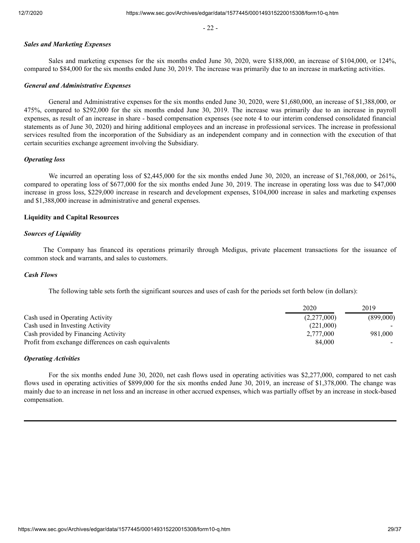- 22 -

## *Sales and Marketing Expenses*

Sales and marketing expenses for the six months ended June 30, 2020, were \$188,000, an increase of \$104,000, or 124%, compared to \$84,000 for the six months ended June 30, 2019. The increase was primarily due to an increase in marketing activities.

## *General and Administrative Expenses*

General and Administrative expenses for the six months ended June 30, 2020, were \$1,680,000, an increase of \$1,388,000, or 475%, compared to \$292,000 for the six months ended June 30, 2019. The increase was primarily due to an increase in payroll expenses, as result of an increase in share - based compensation expenses (see note 4 to our interim condensed consolidated financial statements as of June 30, 2020) and hiring additional employees and an increase in professional services. The increase in professional services resulted from the incorporation of the Subsidiary as an independent company and in connection with the execution of that certain securities exchange agreement involving the Subsidiary.

## *Operating loss*

We incurred an operating loss of \$2,445,000 for the six months ended June 30, 2020, an increase of \$1,768,000, or 261%, compared to operating loss of \$677,000 for the six months ended June 30, 2019. The increase in operating loss was due to \$47,000 increase in gross loss, \$229,000 increase in research and development expenses, \$104,000 increase in sales and marketing expenses and \$1,388,000 increase in administrative and general expenses.

## **Liquidity and Capital Resources**

## *Sources of Liquidity*

The Company has financed its operations primarily through Medigus, private placement transactions for the issuance of common stock and warrants, and sales to customers.

## *Cash Flows*

The following table sets forth the significant sources and uses of cash for the periods set forth below (in dollars):

|                                                      | 2020        | 2019      |
|------------------------------------------------------|-------------|-----------|
| Cash used in Operating Activity                      | (2,277,000) | (899,000) |
| Cash used in Investing Activity                      | (221.000)   |           |
| Cash provided by Financing Activity                  | 2.777,000   | 981,000   |
| Profit from exchange differences on cash equivalents | 84,000      |           |

## *Operating Activities*

For the six months ended June 30, 2020, net cash flows used in operating activities was \$2,277,000, compared to net cash flows used in operating activities of \$899,000 for the six months ended June 30, 2019, an increase of \$1,378,000. The change was mainly due to an increase in net loss and an increase in other accrued expenses, which was partially offset by an increase in stock-based compensation.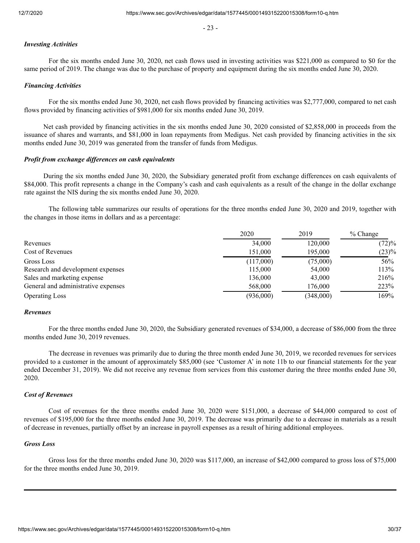- 23 -

# *Investing Activities*

For the six months ended June 30, 2020, net cash flows used in investing activities was \$221,000 as compared to \$0 for the same period of 2019. The change was due to the purchase of property and equipment during the six months ended June 30, 2020.

## *Financing Activities*

For the six months ended June 30, 2020, net cash flows provided by financing activities was \$2,777,000, compared to net cash flows provided by financing activities of \$981,000 for six months ended June 30, 2019.

Net cash provided by financing activities in the six months ended June 30, 2020 consisted of \$2,858,000 in proceeds from the issuance of shares and warrants, and \$81,000 in loan repayments from Medigus. Net cash provided by financing activities in the six months ended June 30, 2019 was generated from the transfer of funds from Medigus.

## *Profit from exchange differences on cash equivalents*

During the six months ended June 30, 2020, the Subsidiary generated profit from exchange differences on cash equivalents of \$84,000. This profit represents a change in the Company's cash and cash equivalents as a result of the change in the dollar exchange rate against the NIS during the six months ended June 30, 2020.

The following table summarizes our results of operations for the three months ended June 30, 2020 and 2019, together with the changes in those items in dollars and as a percentage:

|                                     | 2020      | 2019      | $%$ Change |
|-------------------------------------|-----------|-----------|------------|
| Revenues                            | 34,000    | 120,000   | (72)%      |
| Cost of Revenues                    | 151,000   | 195,000   | (23)%      |
| Gross Loss                          | (117,000) | (75,000)  | 56%        |
| Research and development expenses   | 115,000   | 54,000    | 113%       |
| Sales and marketing expense         | 136,000   | 43,000    | 216%       |
| General and administrative expenses | 568,000   | 176,000   | 223%       |
| <b>Operating Loss</b>               | (936,000) | (348,000) | 169%       |

#### *Revenues*

For the three months ended June 30, 2020, the Subsidiary generated revenues of \$34,000, a decrease of \$86,000 from the three months ended June 30, 2019 revenues.

The decrease in revenues was primarily due to during the three month ended June 30, 2019, we recorded revenues for services provided to a customer in the amount of approximately \$85,000 (see 'Customer A' in note 11b to our financial statements for the year ended December 31, 2019). We did not receive any revenue from services from this customer during the three months ended June 30, 2020.

### *Cost of Revenues*

Cost of revenues for the three months ended June 30, 2020 were \$151,000, a decrease of \$44,000 compared to cost of revenues of \$195,000 for the three months ended June 30, 2019. The decrease was primarily due to a decrease in materials as a result of decrease in revenues, partially offset by an increase in payroll expenses as a result of hiring additional employees.

#### *Gross Loss*

Gross loss for the three months ended June 30, 2020 was \$117,000, an increase of \$42,000 compared to gross loss of \$75,000 for the three months ended June 30, 2019.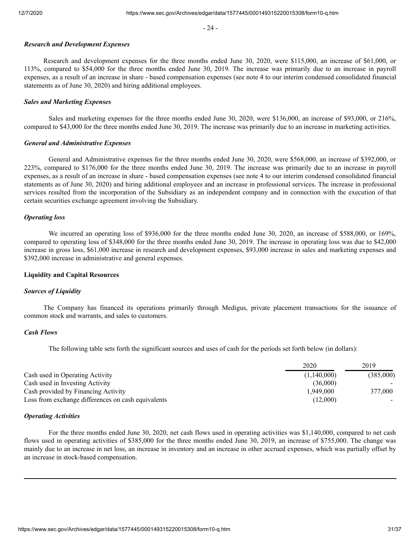- 24 -

## *Research and Development Expenses*

Research and development expenses for the three months ended June 30, 2020, were \$115,000, an increase of \$61,000, or 113%, compared to \$54,000 for the three months ended June 30, 2019. The increase was primarily due to an increase in payroll expenses, as a result of an increase in share - based compensation expenses (see note 4 to our interim condensed consolidated financial statements as of June 30, 2020) and hiring additional employees.

## *Sales and Marketing Expenses*

Sales and marketing expenses for the three months ended June 30, 2020, were \$136,000, an increase of \$93,000, or 216%, compared to \$43,000 for the three months ended June 30, 2019. The increase was primarily due to an increase in marketing activities.

## *General and Administrative Expenses*

General and Administrative expenses for the three months ended June 30, 2020, were \$568,000, an increase of \$392,000, or 223%, compared to \$176,000 for the three months ended June 30, 2019. The increase was primarily due to an increase in payroll expenses, as a result of an increase in share - based compensation expenses (see note 4 to our interim condensed consolidated financial statements as of June 30, 2020) and hiring additional employees and an increase in professional services. The increase in professional services resulted from the incorporation of the Subsidiary as an independent company and in connection with the execution of that certain securities exchange agreement involving the Subsidiary.

## *Operating loss*

We incurred an operating loss of \$936,000 for the three months ended June 30, 2020, an increase of \$588,000, or 169%, compared to operating loss of \$348,000 for the three months ended June 30, 2019. The increase in operating loss was due to \$42,000 increase in gross loss, \$61,000 increase in research and development expenses, \$93,000 increase in sales and marketing expenses and \$392,000 increase in administrative and general expenses.

## **Liquidity and Capital Resources**

#### *Sources of Liquidity*

The Company has financed its operations primarily through Medigus, private placement transactions for the issuance of common stock and warrants, and sales to customers.

## *Cash Flows*

The following table sets forth the significant sources and uses of cash for the periods set forth below (in dollars):

|                                                    | 2020        | 2019      |
|----------------------------------------------------|-------------|-----------|
| Cash used in Operating Activity                    | (1,140,000) | (385,000) |
| Cash used in Investing Activity                    | (36,000)    |           |
| Cash provided by Financing Activity                | 1.949.000   | 377,000   |
| Loss from exchange differences on cash equivalents | (12.000)    |           |

#### *Operating Activities*

For the three months ended June 30, 2020, net cash flows used in operating activities was \$1,140,000, compared to net cash flows used in operating activities of \$385,000 for the three months ended June 30, 2019, an increase of \$755,000. The change was mainly due to an increase in net loss, an increase in inventory and an increase in other accrued expenses, which was partially offset by an increase in stock-based compensation.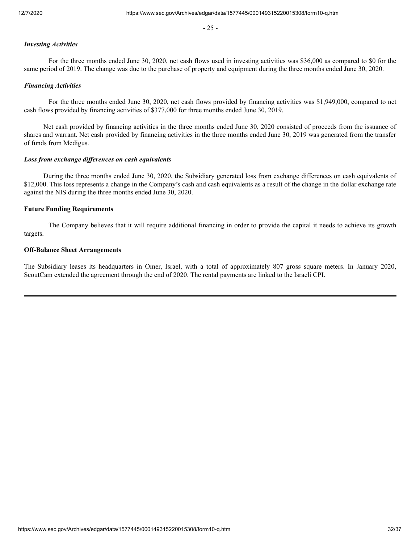- 25 -

## *Investing Activities*

For the three months ended June 30, 2020, net cash flows used in investing activities was \$36,000 as compared to \$0 for the same period of 2019. The change was due to the purchase of property and equipment during the three months ended June 30, 2020.

## *Financing Activities*

For the three months ended June 30, 2020, net cash flows provided by financing activities was \$1,949,000, compared to net cash flows provided by financing activities of \$377,000 for three months ended June 30, 2019.

Net cash provided by financing activities in the three months ended June 30, 2020 consisted of proceeds from the issuance of shares and warrant. Net cash provided by financing activities in the three months ended June 30, 2019 was generated from the transfer of funds from Medigus.

## *Loss from exchange differences on cash equivalents*

During the three months ended June 30, 2020, the Subsidiary generated loss from exchange differences on cash equivalents of \$12,000. This loss represents a change in the Company's cash and cash equivalents as a result of the change in the dollar exchange rate against the NIS during the three months ended June 30, 2020.

## **Future Funding Requirements**

The Company believes that it will require additional financing in order to provide the capital it needs to achieve its growth targets.

## **Off-Balance Sheet Arrangements**

The Subsidiary leases its headquarters in Omer, Israel, with a total of approximately 807 gross square meters. In January 2020, ScoutCam extended the agreement through the end of 2020. The rental payments are linked to the Israeli CPI.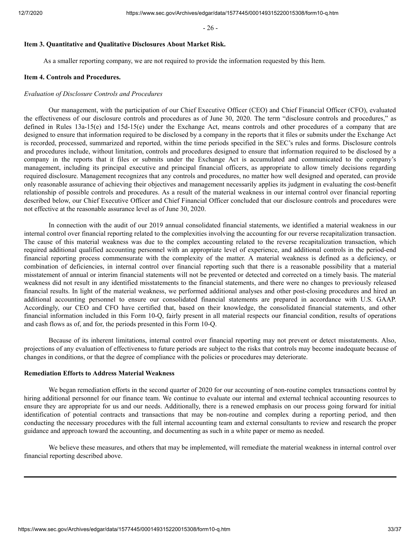- 26 -

## <span id="page-32-0"></span>**Item 3. Quantitative and Qualitative Disclosures About Market Risk.**

As a smaller reporting company, we are not required to provide the information requested by this Item.

#### <span id="page-32-1"></span>**Item 4. Controls and Procedures.**

#### *Evaluation of Disclosure Controls and Procedures*

Our management, with the participation of our Chief Executive Officer (CEO) and Chief Financial Officer (CFO), evaluated the effectiveness of our disclosure controls and procedures as of June 30, 2020. The term "disclosure controls and procedures," as defined in Rules 13a-15(e) and 15d-15(e) under the Exchange Act, means controls and other procedures of a company that are designed to ensure that information required to be disclosed by a company in the reports that it files or submits under the Exchange Act is recorded, processed, summarized and reported, within the time periods specified in the SEC's rules and forms. Disclosure controls and procedures include, without limitation, controls and procedures designed to ensure that information required to be disclosed by a company in the reports that it files or submits under the Exchange Act is accumulated and communicated to the company's management, including its principal executive and principal financial officers, as appropriate to allow timely decisions regarding required disclosure. Management recognizes that any controls and procedures, no matter how well designed and operated, can provide only reasonable assurance of achieving their objectives and management necessarily applies its judgment in evaluating the cost-benefit relationship of possible controls and procedures. As a result of the material weakness in our internal control over financial reporting described below, our Chief Executive Officer and Chief Financial Officer concluded that our disclosure controls and procedures were not effective at the reasonable assurance level as of June 30, 2020.

In connection with the audit of our 2019 annual consolidated financial statements, we identified a material weakness in our internal control over financial reporting related to the complexities involving the accounting for our reverse recapitalization transaction. The cause of this material weakness was due to the complex accounting related to the reverse recapitalization transaction, which required additional qualified accounting personnel with an appropriate level of experience, and additional controls in the period-end financial reporting process commensurate with the complexity of the matter. A material weakness is defined as a deficiency, or combination of deficiencies, in internal control over financial reporting such that there is a reasonable possibility that a material misstatement of annual or interim financial statements will not be prevented or detected and corrected on a timely basis. The material weakness did not result in any identified misstatements to the financial statements, and there were no changes to previously released financial results. In light of the material weakness, we performed additional analyses and other post-closing procedures and hired an additional accounting personnel to ensure our consolidated financial statements are prepared in accordance with U.S. GAAP. Accordingly, our CEO and CFO have certified that, based on their knowledge, the consolidated financial statements, and other financial information included in this Form 10-Q, fairly present in all material respects our financial condition, results of operations and cash flows as of, and for, the periods presented in this Form 10-Q.

Because of its inherent limitations, internal control over financial reporting may not prevent or detect misstatements. Also, projections of any evaluation of effectiveness to future periods are subject to the risks that controls may become inadequate because of changes in conditions, or that the degree of compliance with the policies or procedures may deteriorate.

## **Remediation Efforts to Address Material Weakness**

We began remediation efforts in the second quarter of 2020 for our accounting of non-routine complex transactions control by hiring additional personnel for our finance team. We continue to evaluate our internal and external technical accounting resources to ensure they are appropriate for us and our needs. Additionally, there is a renewed emphasis on our process going forward for initial identification of potential contracts and transactions that may be non-routine and complex during a reporting period, and then conducting the necessary procedures with the full internal accounting team and external consultants to review and research the proper guidance and approach toward the accounting, and documenting as such in a white paper or memo as needed.

We believe these measures, and others that may be implemented, will remediate the material weakness in internal control over financial reporting described above.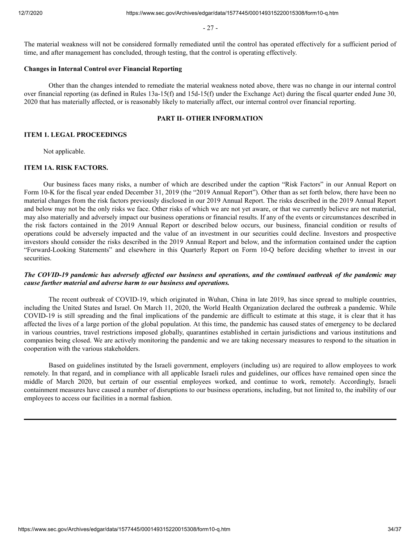- 27 -

The material weakness will not be considered formally remediated until the control has operated effectively for a sufficient period of time, and after management has concluded, through testing, that the control is operating effectively.

## **Changes in Internal Control over Financial Reporting**

Other than the changes intended to remediate the material weakness noted above, there was no change in our internal control over financial reporting (as defined in Rules 13a-15(f) and 15d-15(f) under the Exchange Act) during the fiscal quarter ended June 30, 2020 that has materially affected, or is reasonably likely to materially affect, our internal control over financial reporting.

## **PART II- OTHER INFORMATION**

## <span id="page-33-1"></span><span id="page-33-0"></span>**ITEM 1. LEGAL PROCEEDINGS**

Not applicable.

#### **ITEM 1A. RISK FACTORS.**

Our business faces many risks, a number of which are described under the caption "Risk Factors" in our Annual Report on Form 10-K for the fiscal year ended December 31, 2019 (the "2019 Annual Report"). Other than as set forth below, there have been no material changes from the risk factors previously disclosed in our 2019 Annual Report. The risks described in the 2019 Annual Report and below may not be the only risks we face. Other risks of which we are not yet aware, or that we currently believe are not material, may also materially and adversely impact our business operations or financial results. If any of the events or circumstances described in the risk factors contained in the 2019 Annual Report or described below occurs, our business, financial condition or results of operations could be adversely impacted and the value of an investment in our securities could decline. Investors and prospective investors should consider the risks described in the 2019 Annual Report and below, and the information contained under the caption "Forward-Looking Statements" and elsewhere in this Quarterly Report on Form 10-Q before deciding whether to invest in our securities.

## *The COVID-19 pandemic has adversely affected our business and operations, and the continued outbreak of the pandemic may cause further material and adverse harm to our business and operations.*

The recent outbreak of COVID-19, which originated in Wuhan, China in late 2019, has since spread to multiple countries, including the United States and Israel. On March 11, 2020, the World Health Organization declared the outbreak a pandemic. While COVID-19 is still spreading and the final implications of the pandemic are difficult to estimate at this stage, it is clear that it has affected the lives of a large portion of the global population. At this time, the pandemic has caused states of emergency to be declared in various countries, travel restrictions imposed globally, quarantines established in certain jurisdictions and various institutions and companies being closed. We are actively monitoring the pandemic and we are taking necessary measures to respond to the situation in cooperation with the various stakeholders.

Based on guidelines instituted by the Israeli government, employers (including us) are required to allow employees to work remotely. In that regard, and in compliance with all applicable Israeli rules and guidelines, our offices have remained open since the middle of March 2020, but certain of our essential employees worked, and continue to work, remotely. Accordingly, Israeli containment measures have caused a number of disruptions to our business operations, including, but not limited to, the inability of our employees to access our facilities in a normal fashion.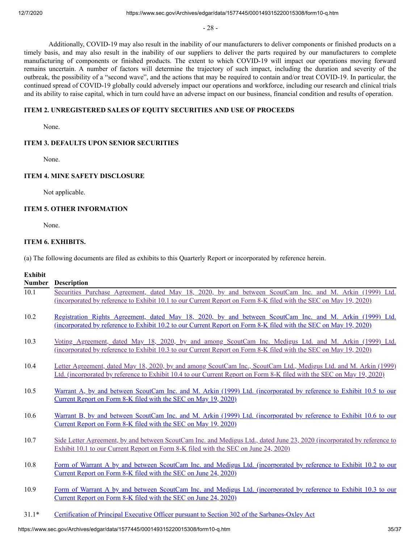- 28 -

Additionally, COVID-19 may also result in the inability of our manufacturers to deliver components or finished products on a timely basis, and may also result in the inability of our suppliers to deliver the parts required by our manufacturers to complete manufacturing of components or finished products. The extent to which COVID-19 will impact our operations moving forward remains uncertain. A number of factors will determine the trajectory of such impact, including the duration and severity of the outbreak, the possibility of a "second wave", and the actions that may be required to contain and/or treat COVID-19. In particular, the continued spread of COVID-19 globally could adversely impact our operations and workforce, including our research and clinical trials and its ability to raise capital, which in turn could have an adverse impact on our business, financial condition and results of operation.

## **ITEM 2. UNREGISTERED SALES OF EQUITY SECURITIES AND USE OF PROCEEDS**

None.

## **ITEM 3. DEFAULTS UPON SENIOR SECURITIES**

None.

## **ITEM 4. MINE SAFETY DISCLOSURE**

Not applicable.

## **ITEM 5. OTHER INFORMATION**

None.

## <span id="page-34-0"></span>**ITEM 6. EXHIBITS.**

(a) The following documents are filed as exhibits to this Quarterly Report or incorporated by reference herein.

## **Exhibit**

| <b>Number</b> | <b>Description</b>                                                                                                                                                                                                                         |
|---------------|--------------------------------------------------------------------------------------------------------------------------------------------------------------------------------------------------------------------------------------------|
| 10.1          | Securities Purchase Agreement, dated May 18, 2020, by and between ScoutCam Inc. and M. Arkin (1999) Ltd.<br>(incorporated by reference to Exhibit 10.1 to our Current Report on Form 8-K filed with the SEC on May 19, 2020)               |
| 10.2          | Registration Rights Agreement, dated May 18, 2020, by and between ScoutCam Inc. and M. Arkin (1999) Ltd.<br>(incorporated by reference to Exhibit 10.2 to our Current Report on Form 8-K filed with the SEC on May 19, 2020)               |
| 10.3          | Voting Agreement, dated May 18, 2020, by and among ScoutCam Inc. Medigus Ltd. and M. Arkin (1999) Ltd.<br>(incorporated by reference to Exhibit 10.3 to our Current Report on Form 8-K filed with the SEC on May 19, 2020)                 |
| 10.4          | Letter Agreement, dated May 18, 2020, by and among ScoutCam Inc., ScoutCam Ltd., Medigus Ltd. and M. Arkin (1999)<br>Ltd. (incorporated by reference to Exhibit 10.4 to our Current Report on Form 8-K filed with the SEC on May 19, 2020) |
| 10.5          | Warrant A, by and between ScoutCam Inc. and M. Arkin (1999) Ltd. (incorporated by reference to Exhibit 10.5 to our<br>Current Report on Form 8-K filed with the SEC on May 19, 2020)                                                       |
| 10.6          | Warrant B, by and between ScoutCam Inc. and M. Arkin (1999) Ltd. (incorporated by reference to Exhibit 10.6 to our<br>Current Report on Form 8-K filed with the SEC on May 19, 2020)                                                       |
| 10.7          | Side Letter Agreement, by and between ScoutCam Inc. and Medigus Ltd., dated June 23, 2020 (incorporated by reference to<br>Exhibit 10.1 to our Current Report on Form 8-K filed with the SEC on June 24, 2020)                             |
| 10.8          | Form of Warrant A by and between ScoutCam Inc. and Medigus Ltd. (incorporated by reference to Exhibit 10.2 to our<br>Current Report on Form 8-K filed with the SEC on June 24, 2020)                                                       |
| 10.9          | Form of Warrant A by and between ScoutCam Inc. and Medigus Ltd. (incorporated by reference to Exhibit 10.3 to our<br>Current Report on Form 8-K filed with the SEC on June 24, 2020)                                                       |
| $31.1*$       | Certification of Principal Executive Officer pursuant to Section 302 of the Sarbanes-Oxley Act                                                                                                                                             |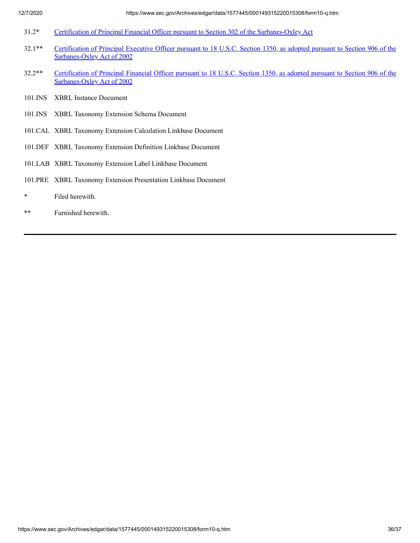- 31.2\* [Certification of Principal Financial Officer pursuant to Section 302 of the Sarbanes-Oxley Act](https://www.sec.gov/Archives/edgar/data/1577445/000149315220015308/ex31-2.htm)
- 32.1\*\* [Certification of Principal Executive Officer pursuant to 18 U.S.C. Section 1350, as adopted pursuant to Section 906 of the](https://www.sec.gov/Archives/edgar/data/1577445/000149315220015308/ex32-1.htm) Sarbanes-Oxley Act of 2002
- 32.2\*\* [Certification of Principal Financial Officer pursuant to 18 U.S.C. Section 1350, as adopted pursuant to Section 906 of the](https://www.sec.gov/Archives/edgar/data/1577445/000149315220015308/ex32-2.htm) Sarbanes-Oxley Act of 2002
- 101.INS XBRL Instance Document
- 101.INS XBRL Taxonomy Extension Schema Document
- 101.CAL XBRL Taxonomy Extension Calculation Linkbase Document
- 101.DEF XBRL Taxonomy Extension Definition Linkbase Document
- 101.LAB XBRL Taxonomy Extension Label Linkbase Document
- 101.PRE XBRL Taxonomy Extension Presentation Linkbase Document
- \* Filed herewith.
- \*\* Furnished herewith.